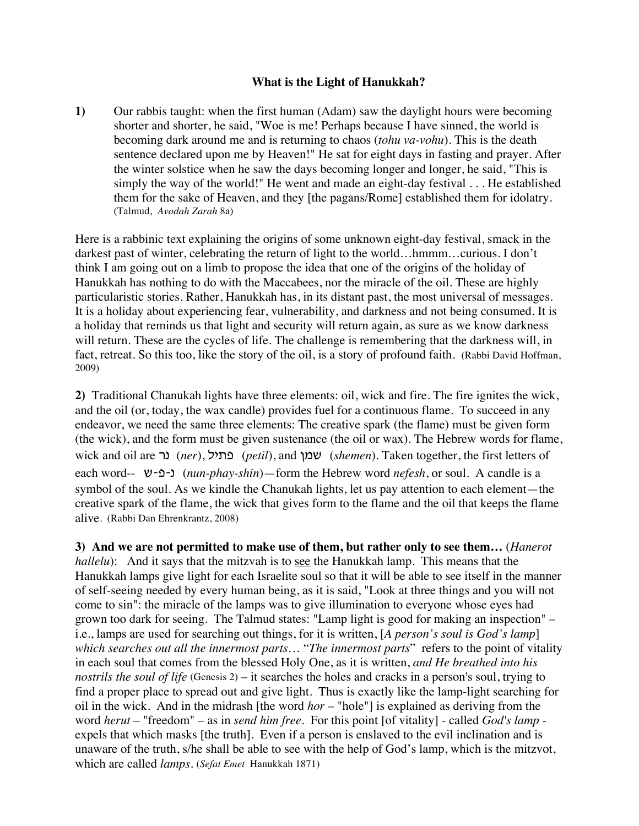## **What is the Light of Hanukkah?**

**1)** Our rabbis taught: when the first human (Adam) saw the daylight hours were becoming shorter and shorter, he said, "Woe is me! Perhaps because I have sinned, the world is becoming dark around me and is returning to chaos (*tohu va-vohu*). This is the death sentence declared upon me by Heaven!" He sat for eight days in fasting and prayer. After the winter solstice when he saw the days becoming longer and longer, he said, "This is simply the way of the world!" He went and made an eight-day festival . . . He established them for the sake of Heaven, and they [the pagans/Rome] established them for idolatry. (Talmud, *Avodah Zarah* 8a)

Here is a rabbinic text explaining the origins of some unknown eight-day festival, smack in the darkest past of winter, celebrating the return of light to the world…hmmm...curious. I don't think I am going out on a limb to propose the idea that one of the origins of the holiday of Hanukkah has nothing to do with the Maccabees, nor the miracle of the oil. These are highly particularistic stories. Rather, Hanukkah has, in its distant past, the most universal of messages. It is a holiday about experiencing fear, vulnerability, and darkness and not being consumed. It is a holiday that reminds us that light and security will return again, as sure as we know darkness will return. These are the cycles of life. The challenge is remembering that the darkness will, in fact, retreat. So this too, like the story of the oil, is a story of profound faith. (Rabbi David Hoffman, 2009)

**2)** Traditional Chanukah lights have three elements: oil, wick and fire. The fire ignites the wick, and the oil (or, today, the wax candle) provides fuel for a continuous flame. To succeed in any endeavor, we need the same three elements: The creative spark (the flame) must be given form (the wick), and the form must be given sustenance (the oil or wax). The Hebrew words for flame, wick and oil are *(ner*), ור (*petil*), and שמן (*shemen*). Taken together, the first letters of each word-- **(***nun-phay-shin*)—form the Hebrew word *nefesh*, or soul. A candle is a symbol of the soul. As we kindle the Chanukah lights, let us pay attention to each element—the creative spark of the flame, the wick that gives form to the flame and the oil that keeps the flame alive. (Rabbi Dan Ehrenkrantz, 2008)

**3) And we are not permitted to make use of them, but rather only to see them…** (*Hanerot hallelu*): And it says that the mitzvah is to see the Hanukkah lamp. This means that the Hanukkah lamps give light for each Israelite soul so that it will be able to see itself in the manner of self-seeing needed by every human being, as it is said, "Look at three things and you will not come to sin": the miracle of the lamps was to give illumination to everyone whose eyes had grown too dark for seeing. The Talmud states: "Lamp light is good for making an inspection" – i.e., lamps are used for searching out things, for it is written, [*A person's soul is God's lamp*] *which searches out all the innermost parts*… "*The innermost parts*" refers to the point of vitality in each soul that comes from the blessed Holy One, as it is written, *and He breathed into his nostrils the soul of life* (Genesis 2) – it searches the holes and cracks in a person's soul, trying to find a proper place to spread out and give light. Thus is exactly like the lamp-light searching for oil in the wick. And in the midrash [the word *hor* – "hole"] is explained as deriving from the word *herut* – "freedom" – as in *send him free*. For this point [of vitality] - called *God's lamp* expels that which masks [the truth]. Even if a person is enslaved to the evil inclination and is unaware of the truth, s/he shall be able to see with the help of God's lamp, which is the mitzvot, which are called *lamps*. (*Sefat Emet* Hanukkah 1871)